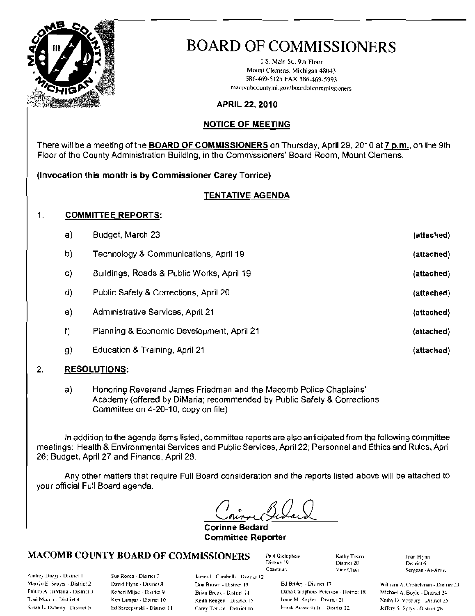

I S. Main St., 9th Floor Mount Clemens, Michigan 48043 586-469-5125 FAX 586-469-5993 macombcountymi.gov/boardofcommissioners

### **APRIL 22, 2010**

### **NOTICE OF MEETING**

There will be a meeting of the BOARD OF COMMISSIONERS on Thursday, April 29, 2010 at 7 p.m., on the 9th Floor of the County Administration Building, in the Commissioners' Board Room, Mount Clemens.

### (Invocation this month is by Commissioner Carey Torrice)

### **TENTATIVE AGENDA**

#### 1. **COMMITTEE REPORTS:**

| a)                | Budget, March 23                          | (attached) |
|-------------------|-------------------------------------------|------------|
| b)                | Technology & Communications, April 19     | (attached) |
| $\mathbf{C}$      | Buildings, Roads & Public Works, April 19 | (attached) |
| d)                | Public Safety & Corrections, April 20     | (attached) |
| e)                | Administrative Services, April 21         | (attached) |
| f)                | Planning & Economic Development, April 21 | (attached) |
| $\vert 9 \rangle$ | Education & Training, April 21            | (attached) |

#### 2. **RESOLUTIONS:**

Honoring Reverend James Friedman and the Macomb Police Chaplains'  $a)$ Academy (offered by DiMaria; recommended by Public Safety & Corrections Committee on 4-20-10; copy on file)

In addition to the agenda items listed, committee reports are also anticipated from the following committee meetings: Health & Environmental Services and Public Services, April 22; Personnel and Ethics and Rules, April 26; Budget, April 27 and Finance, April 28.

Any other matters that require Full Board consideration and the reports listed above will be attached to your official Full Board agenda.

**Corinne Bedard Committee Reporter** 

### **MACOMB COUNTY BOARD OF COMMISSIONERS**

Andrey Duzyj - District 1 Marvin E. Sauger - District 2 Phillip A DiMaria - District 3 Toni Moceri - District 4 Siesan L. Doherty - District 5

Sue Rocca - District 7 David Flynn - District 8 Robert Mijac - District 9 Ken Lampar - District 10 Ed Szczepanski - Distnet 11

James L. Carabelli District 12 Don Brown - District 13 Brian Brdak - Disinct 14 Keith Rengert - District 15 Carey Toroce District 16

Paul Gieleghem District 19 Chairman

Kathy Tocco District 20 Vice Chair

Joan Flynn District 6 Sergeant-At-Arms

William A. Crotichman - District 23 Michael A. Boyle - District 24 Kathy D. Vosburg - District 25 Jeffery S. Sprys - District 26

Ed Bruley - District 17 Dana Camphous Peterson - District 18 Irene M. Kepler - District 21 Frank Accavith Jr. - District 22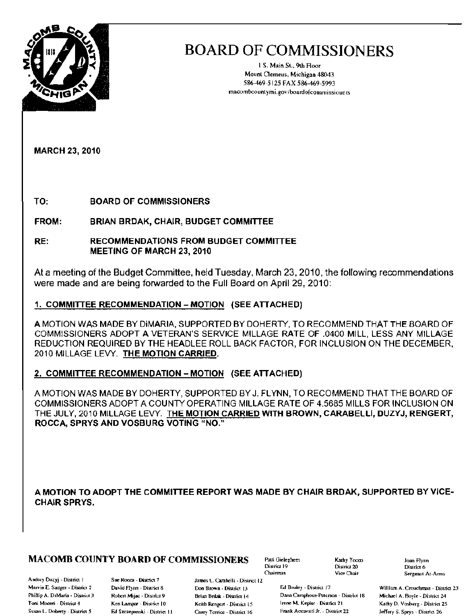

I S. Main SL, 9th Roor Mount Oemeus, Michigan 48043 586-469-5125 FAX 586-469-5993 macombcountymi.gov/boardofcommissiouers

MARCH 23, 2010

TO: BOARD OF COMMISSIONERS

FROM: BRIAN BRDAK, CHAIR, BUDGET COMMITTEE

RE: RECOMMENDATIONS FROM BUDGET COMMITTEE MEETING OF MARCH 23, 2010

At a meeting ofthe Budget Committee, held Tuesday, March 23, *2010,* the following recommendations were made and are being forwarded to the Full Board on April 29, *2010:* 

### 1. COMMITTEE RECOMMENDATION - MOTION (SEE ATTACHED)

A MOTION WAS MADE BY DiMARIA, SUPPORTED BY DOHERTY, TO RECOMMEND THAT THE BOARD OF COMMISSIONERS ADOPT A VETERAN'S SERVICE MILLAGE RATE OF .0400 MILL, LESS ANY MILLAGE REDUCTION REQUIRED BY THE HEADLEE ROLL BACK FACTOR, FOR INCLUSION ON THE DECEMBER, 2010 MILLAGE LEVY. THE MOTION CARRIED.

### 2, COMMITTEE RECOMMENDATION - MOTION (SEE ATTACHED)

AMOTION WAS MADE BY DOHERTY, SUPPORTED BY J. FLYNN, TO RECOMMEND THATTHE BOARD OF COMMISSIONERS ADOPT A COUNTY OPERATING MILLAGE RATE OF 4.5685 MILLS FOR INCLUSION ON THE JULY, 2010 MILLAGE LEVY. THE MOTION CARRIED WITH BROWN, CARABELLI, DUZYJ, RENGERT, ROCCA, SPRYS AND VOSBURG VOTING "NO."

### A MOTION TO ADOPT THE COMMITTEE REPORT WAS MADE BY CHAIR BRDAK, SUPPORTED BY VICE· CHAIR SPRYS,

### $\textbf{MACOMB COUNTY BOARD OF COMMISSIONERS}$  Paul Gieleghem  $\begin{array}{ccc} \textbf{Karky Toco} & \textbf{Jcap Flynn} \ \textbf{Disind 20} & \textbf{Disind 20} \end{array}$

Andrey Duzyj - District I Sue Rocca - District 7

James L. Carabelli - District 12

Chairman

Phillip A. DiMaria - District 3 Robert Mijac - District 9 Brian Brdak - District 14 Dana Camphous-Peterson - District 16 Michael A. Boyle - District 24 Toni Moceri - District 4 Ken Lampar - District 10 Keith Rengert - District 15 Irene M. Kepler - District 21 Kathy D. Vosburg - District 25 Susan L. Doherty - District 5 Ed Szczepanski - District 11 Carey Torrice - District 16 Frank Accavitti Jr. - District 22 Jeffery S. Sprys - District 26

District 6 Vice Chair Sergeam At-Arms

Marvin E. Sauger - District 2 David Flynn - District 8 Don Brown - District 13 Ed Bruley - District 17 William A. Crouchman - District 23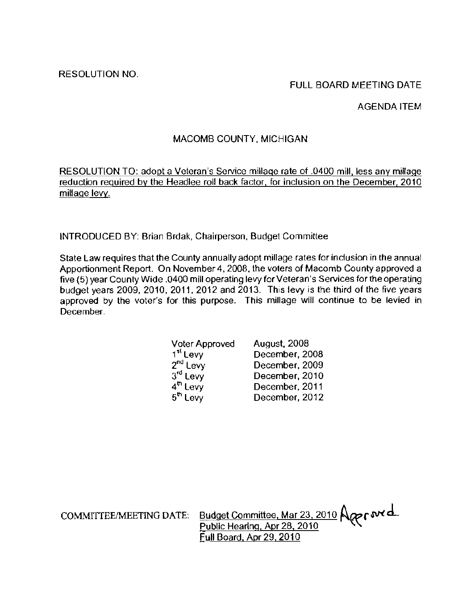### FULL BOARD MEETING DATE

### AGENDA ITEM

### MACOMB COUNTY, MICHIGAN

RESOLUTION TO: adopt a Veteran's Service millage rate of .0400 mill, less any millage reduction required by the Headlee roll back factor, for inclusion on the December, 2010 millage levy.

INTRODUCED BY: Brian Brdak, Chairperson, Budget Committee

**State Law requires that the County annually adopt millage rates for inclusion in the annual**  Apportionment Report. On November 4,2008, the voters of Macomb County approved a five (5) year County Wide .0400 mill operating levy for Veteran's Services for the operating budget years 2009, 2010, 2011, 2012 and 2013. This levy is the third of the five years **approved by the voter's for this purpose. This millage will continue to be levied in December.** 

| <b>Voter Approved</b> | <b>August, 2008</b> |  |
|-----------------------|---------------------|--|
| 1 <sup>st</sup> Levy  | December, 2008      |  |
| 2 <sup>nd</sup> Levy  | December, 2009      |  |
| 3rd Levy              | December, 2010      |  |
| $4th$ Levy            | December, 2011      |  |
| $5^{\text{th}}$ Levy  | December, 2012      |  |

COMMITTEE/MEETING DATE: Budget Committee, Mar 23, 2010 **A** Public Hearing, Apr 28,2010 " Full Board, Apr 29,2010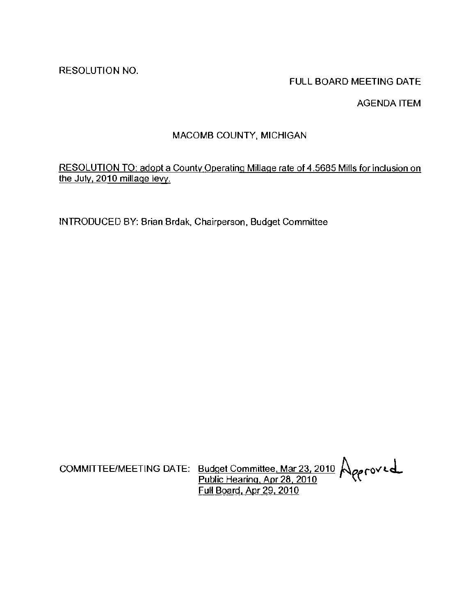### FULL BOARD MEETING DATE

### AGENDA ITEM

### MACOMB COUNTY, MICHIGAN

### RESOLUTION TO: adopt a County Operating Millage rate of 4.5685 Mills for inclusion on the July, 2010 millage levy.

INTRODUCED BY: Brian Brdak, Chairperson, Budget Committee

COMMITTEE/MEETING DATE: Budget Committee, Mar 23, 2010 **Approved** Public Hearing, Apr 28, 2010 Full Board, Apr 29,2010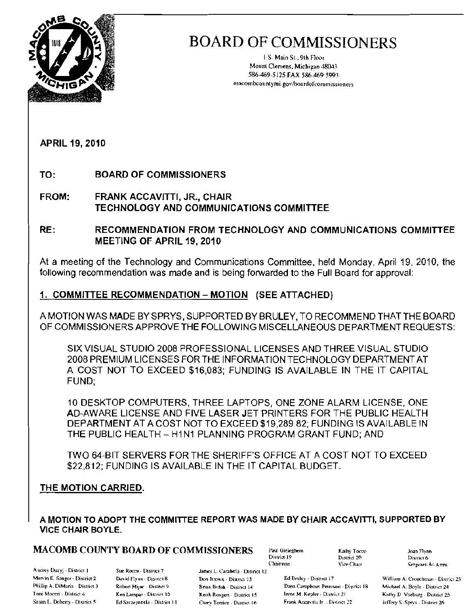

1 S. Main St., 9th Floor Mount Clemens, Michigan 4804.' 586-469-5 J25 FAX 586-469- 599.1 macombcountymi\_gov/boardofcommissioners

APRIL 19, 2010

TO: BOARD OF COMMISSIONERS

FROM: FRANK ACCAVITTI, JR., CHAIR TECHNOLOGY AND COMMUNICATIONS COMMITTEE

RE: RECOMMENDATION FROM TECHNOLOGY AND COMMUNICATIONS COMMITTEE MEETING OF APRIL 19, 2010

At a meeting of the Technology and Communications Committee, held Monday, April 19, 2010, the following recommendation was made and is being forwarded to the Full Board for approval:

### 1. COMMITTEE RECOMMENDATION - MOTION (SEE ATTACHED)

A MOTION WAS MADE BY SPRYS, SUPPORTED BY BRULEY, TO RECOMMEND THAT THE BOARD OF COMMISSIONERS APPROVE THE FOLLOWING MISCELLANEOUS DEPARTMENT REQUESTS:

SIX VISUAL STUDIO 2008 PROFESSIONAL LICENSES AND THREE VISUAL STUDIO 2008 PREMIUM LICENSES FOR THE INFORMATION TECHNOLOGY DEPARTMENT AT A COST NOT TO EXCEED \$16,083; FUNDING IS AVAILABLE IN THE IT CAPITAL FUND;

10 DESKTOP COMPUTERS, THREE LAPTOPS, ONE ZONE ALARM LICENSE, ONE AD-AWARE LICENSE AND FIVE LASER JET PRINTERS FOR THE PUBLIC HEALTH DEPARTMENT AT A COST NOT TO EXCEED \$19,28982; FUNDING IS AVAILABLE IN THE PUBLIC HEALTH - H1N1 PLANNING PROGRAM GRANT FUND; AND

TWO 64-BIT SERVERS FOR THE SHERIFF'S OFFICE AT A COST NOT TO EXCEED \$22,812; FUNDING IS AVAILABLE IN THE IT CAPITAL BUDGET.

### THE MOTION CARRIED.

A MOTION TO ADOPT THE COMMITTEE REPORT WAS MADE BY CHAIR ACCAVITTI, SUPPORTED BY VICE CHAIR BOYLE.

## $MACOMB$  COUNTY BOARD OF COMMISSIONERS  $P_{\text{aul Giekeghem}}$   $R_{\text{adly Toxce}}$   $R_{\text{anty Toxce}}$   $R_{\text{outx 19}}$

Andrey Duzyj - District J Sue Rocca - District 7 January L. Carabelli - District 12

District 19 District 20<br>
Chairman Vice Chair

Marvin E. Sauger - District 2 o. 2. David Flynn - District 8 Don Brown - District 13 Ed Bruley - District 17 William A. Crouchman - District 23 Co. 13 Ed Bruley - District 17 William A. Crouchman - District 23 Co. 14 Dana Parillip Michael A. Boyle - District 24 Dana Camphous-Peterson - District 18 Michael A, Boyle - District 24 -, Toni Moceri - District 4 Ken Lampar - District 10 Keith Rengert - District 15 [rene M. Kepler - District 21 Kalhy D Vosburg - District 25 Sll>:ln L D"hCT1)' \_ DisHie! Ed Sv:",p;>Il,li - l)j'I,ic' 11 Carcy Tomc. - DJ5Ui<1 I~ Fn.nk A"""'-lIIL J, . D;,lricl 22 leITcry S. SprYs· Di'lne' 26

Vice Chair Sergeant-At-Arms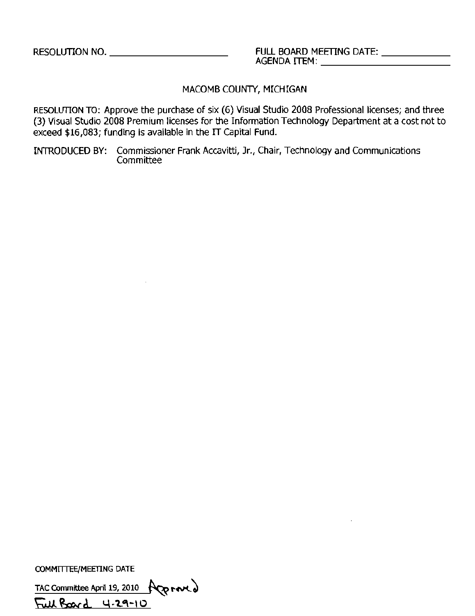AGENDA ITEM: \_\_\_\_\_\_\_\_\_\_\_\_\_\_

### MACOMB COUNTY, MICHIGAN

RESOLUTION TO: Approve the purchase of six (6) Visual Studio 2008 Professional licenses; and three (3) Visual Studio 2008 Premium licenses for the Information Technology Department at a cost not to exceed \$16,083; funding is available in the  $\Pi$  Capital Fund.

INTRODUCED BY: Commissioner Frank Accavitti, Jr., Chair, Technology and Communications Committee

**COMMITTEE/MEETING DATE** 

TAC Committee April 19, 2010 ROD POR Full Board 4-29-10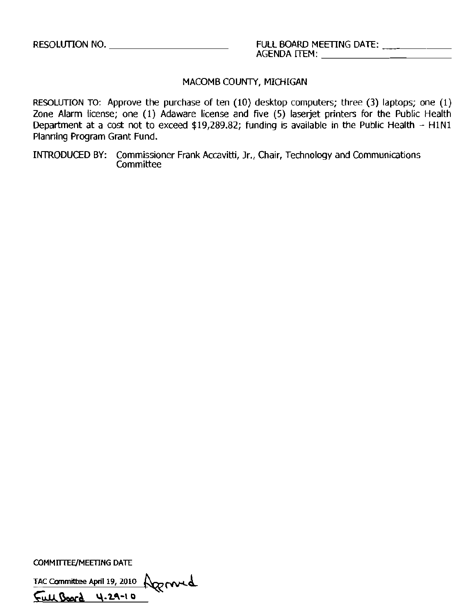### MACOMB COUNTY, MICHIGAN

RESOLUTION TO: Approve the purchase of ten (10) desktop computers; three (3) laptops; one (I) Zone Alarm license; one (I) Adaware license and five (5) laserjet printers for the Public Health Department at a cost not to exceed \$19,289.82; funding is available in the Public Health - H1N1 Planning Program Grant Fund.

INTRODUCED BY: Commissioner Frank Accavitti, Jr., Chair, Technology and Communications **Committee** 

COMMITTEE/MEETING DATE

TAC Committee April 19, 2010 **Approved** f"u.U.~A **\'\-'1."'-1 <sup>Q</sup>**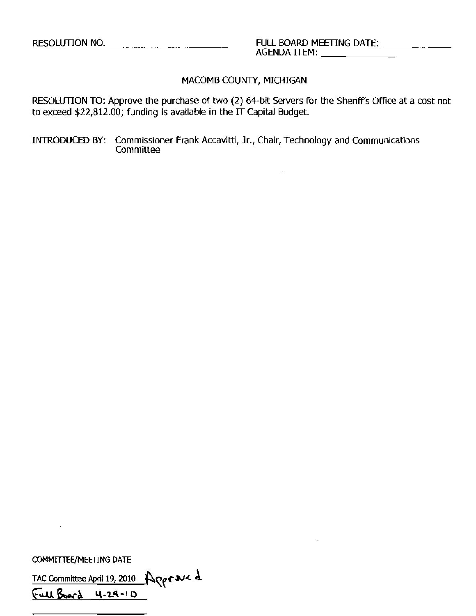### MACOMB COUNTY, MICHIGAN

RESOLUTION TO: Approve the purchase of two (2) 64-bit Servers for the Sheriff's Office at a cost not to exceed \$22,812.00; funding is available in the IT Capital Budget.

INTRODUCED BY: Commissioner Frank Accavitti, Jr., Chair, Technology and Communications<br>Committee

**COMMITTEE/MEETING DATE** 

 $\epsilon$ 

TAC Committee April 19, 2010 Agenue d

Full Board 4.29-10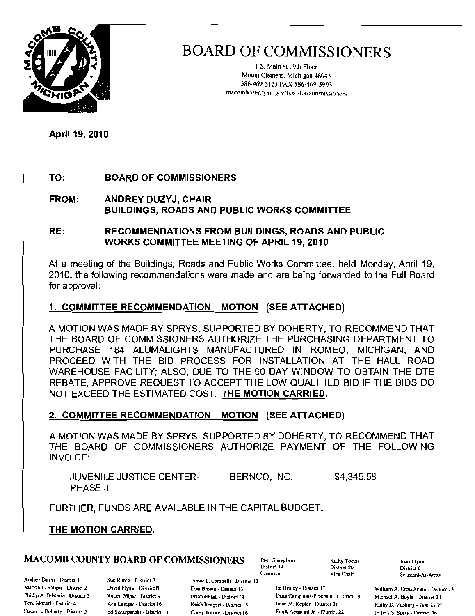

I S. Main St., 9th Floor Mount Clemens, Michigan 48043 586-469-5125 FAX 586-469-5993 macomh.comtymi.gov/boardofcommissioners.

April 19, 2010

### TO: BOARD OF COMMISSIONERS

### FROM: ANDREY DUZYJ, CHAIR BUILDINGS, ROADS AND PUBLIC WORKS COMMITTEE

### RE: RECOMMENDATIONS FROM BUILDINGS, ROADS AND PUBLIC WORKS COMMITTEE MEETING OF APRIL 19, 2010

At a meeting of the Buildings, Roads and Public Works Committee, held Monday, April 19, 2010, the following recommendations were made and are being forwarded to the Full Board for approval:

### 1. COMMITTEE RECOMMENDATION - MOTION (SEE ATTACHED)

A MOTION WAS MADE BY SPRYS, SUPPORTED BY DOHERTY, TO RECOMMEND THAT THE BOARD OF COMMISSIONERS AUTHORIZE THE PURCHASING DEPARTMENT TO PURCHASE 184 ALUMALIGHTS MANUFACTURED IN ROMEO, MICHIGAN, AND PROCEED WITH THE BID PROCESS FOR INSTALLATION AT THE HALL ROAD WAREHOUSE FACILITY; ALSO, DUE TO THE 90 DAY WINDOW TO OBTAIN THE DTE REBATE, APPROVE REQUEST TO ACCEPT THE LOW QUALIFIED BID IF THE BIDS DO NOT EXCEED THE ESTIMATED COST. THE MOTION CARRIED.

### 2. COMMITTEE RECOMMENDATION - MOTION (SEE ATTACHED)

A MOTION WAS MADE BY SPRYS, SUPPORTED BY DOHERTY, TO RECOMMEND THAT THE BOARD OF COMMISSIONERS AUTHORIZE PAYMENT OF THE FOLLOWING INVOICE:

JUVENILE JUSTICE CENTER-<br>BERNCO, INC. \$4,345.58 PHASE II

FURTHER, FUNDS ARE AVAILABLE IN THE CAPITAL BUDGET.

### THE MOTION CARRIED.

# $\textbf{MACOMB COUNITY BOARD OF COMMAISSIONERS}$  Paul Gideglpem Kathy Tocco Joan Flynn District 6<br>District 19 District 20 District 6<br>Chairman Vice Chair SecoentLA

Andrey Duzyj - District I Sue Rocea - District 7 fames L. Carabelli - District 12

Marvin E. Sauger - District 2 David Flynn - District 8 Don Brown - District 13 Ed Bruley - District 17 William A. Croughman - District 23<br>Phillip A. DiMaria - District 3 Robert Mijac - District 9 Brian Briak - District 14 Phillip A. DiMaria - District 3 Robert Mijac - District 9 Britan Britan - District 14 Dana Campbous-Peterson - District 18 Michael A. Boyle - District 24<br>Ton: Moderi - District 4 Kentlanner - District 10 Meith Booken - Div Ton' Moceri - District 4 Ken Lampar - District 10 Keith Rengert - District 15 Inche M. Kepler - District 21 Kathy D. Vosburg - District 25<br>Susan L. Doherty - District 5 Ed Szczepanski - District 11 Carey Tombe - District 1 Ed Szczepanski - District 11 Carey Tomice - District 16 Frank Accavitti Jr. - District 22 Jeffery S. Sprys - District 26

Sergeant-At-Arms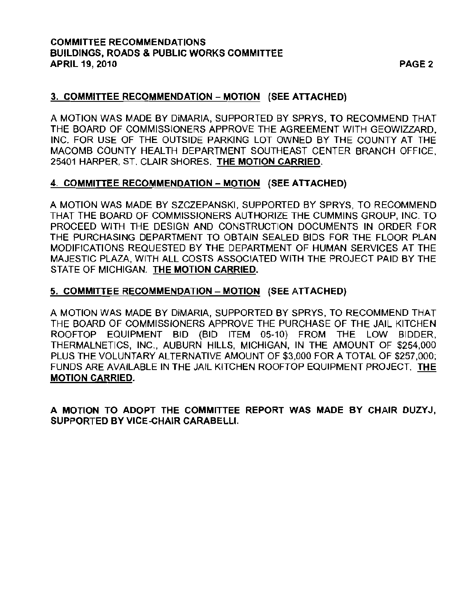### COMMITTEE RECOMMENDATIONS BUILDINGS, ROADS & PUBLIC WORKS COMMITTEE APRIL 19, 2010 PAGE 2

### 3. COMMITTEE RECOMMENDATION - MOTION (SEE ATTACHED)

A MOTION WAS MADE BY DiMARIA, SUPPORTED BY SPRYS. TO RECOMMEND THAT THE BOARD OF COMMISSIONERS APPROVE THE AGREEMENT WITH GEOWIZZARD. INC. FOR USE OF THE OUTSIDE PARKING LOT OWNED BY THE COUNTY AT THE MACOMB COUNTY HEALTH DEPARTMENT SOUTHEAST CENTER BRANCH OFFICE, 25401 HARPER, ST. CLAIR SHORES. THE MOTION CARRIED.

### 4. COMMITTEE RECOMMENDATION - MOTION (SEE ATTACHED)

A MOTION WAS MADE BY SZCZEPANSKI, SUPPORTED BY SPRYS, TO RECOMMEND THAT THE BOARD OF COMMISSIONERS AUTHORIZE THE CUMMINS GROUP, INC. TO PROCEED WITH THE DESIGN AND CONSTRUCTION DOCUMENTS IN ORDER FOR THE PURCHASING DEPARTMENT TO OBTAIN SEALED BIDS FOR THE FLOOR PLAN MODIFICATIONS REQUESTED BY THE DEPARTMENT OF HUMAN SERVICES AT THE MAJESTIC PLAZA, WITH ALL COSTS ASSOCIATED WITH THE PROJECT PAID BY THE STATE OF MICHIGAN. THE MOTION CARRIED.

### 5. COMMITTEE RECOMMENDATION - MOTION (SEE ATTACHED)

A MOTION WAS MADE BY DiMARIA, SUPPORTED BY SPRYS, TO RECOMMEND THAT THE BOARD OF COMMISSIONERS APPROVE THE PURCHASE OF THE JAIL KITCHEN ROOFTOP EQUIPMENT BID (BID ITEM 05-10) FROM THE LOW BIDDER, THERMALNETICS, INC., AUBURN HILLS, MICHIGAN. IN THE AMOUNT OF \$254,000 PLUS THE VOLUNTARY ALTERNATIVE AMOUNT OF \$3,000 FOR A TOTAL OF \$257,000; FUNDS ARE AVAILABLE IN THE JAIL KITCHEN ROOFTOP EQUIPMENT PROJECT. THE MOTION CARRIED.

A MOTION TO ADOPT THE COMMITTEE REPORT WAS MADE BY CHAIR DUZYJ, SUPPORTED BY VICE-CHAIR CARABELLI.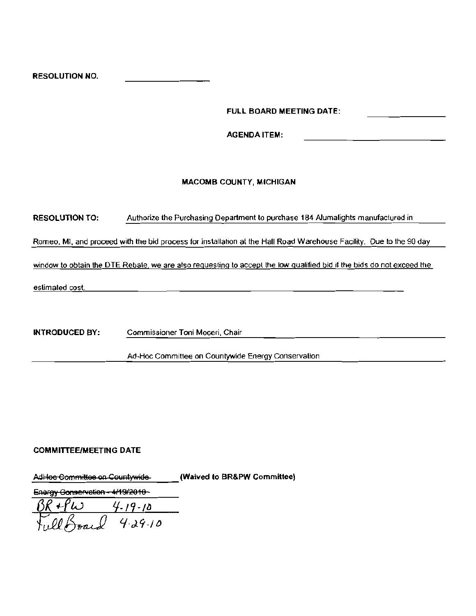**FULL BOARD MEETING DATE:** 

**AGENDA ITEM:** 

### **MACOMB COUNTY, MICHIGAN**

| RESOLUTION TO: | Authorize the Purchasing Department to purchase 184 Alumalights manufactured in |
|----------------|---------------------------------------------------------------------------------|
|                |                                                                                 |

Romeo, MI, and proceed with the bid process for installation at the Hall Road Warehouse Facility. Due to the 90 day

window to obtain the DTE Rebate, we are also requesting to accept the low qualified bid if the bids do not exceed the

estimated cost.

**INTRODUCED BY:** Commissioner Toni Moceri, Chair

Ad-Hoc Committee on Countywide Energy Conservation

#### **COMMITTEE/MEETING DATE**

AdHoe Committee on Countywide (Waived to BR&PW Committee)

Energy Gonservation - 4/19/2010 -

 $4 - 19 - 10$  $4.29.10$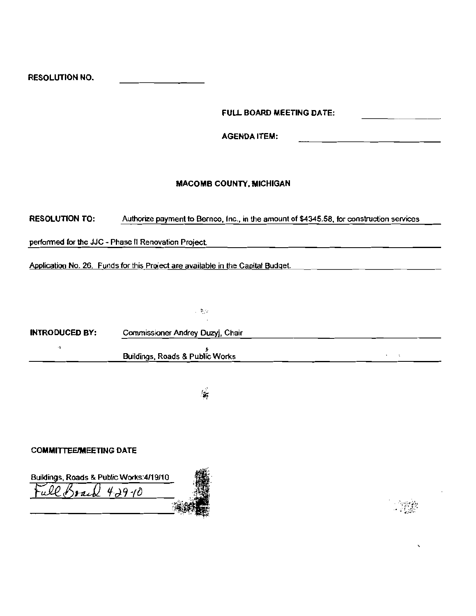| <b>RESOLUTION NO.</b> |  |  |
|-----------------------|--|--|
|                       |  |  |

FULL BOARD MEETING DATE:

AGENDA ITEM:

### MACOMB COUNTY. MICHIGAN

### RESOLUTION TO: **Authorize payment to Bernco, Inc., in the amount of \$4345.58. for construction services**

**perfonned for the JJC - Phase II Renovation Project** 

**Application No.** 26. **Funds for this Proiect are available in the Capital Budget.** 

INTRODUCED BY: **Commissioner Andrey Ouzyj, Chair**   $\ddot{\mathbf{r}}$  $\mathcal{A}^{\mathcal{A}}$  and  $\mathcal{A}^{\mathcal{A}}$ **Buildings, Roads & PubliC Works** 

 $\sim$ 

计算段

### COMMITTEE/MEETING DATE



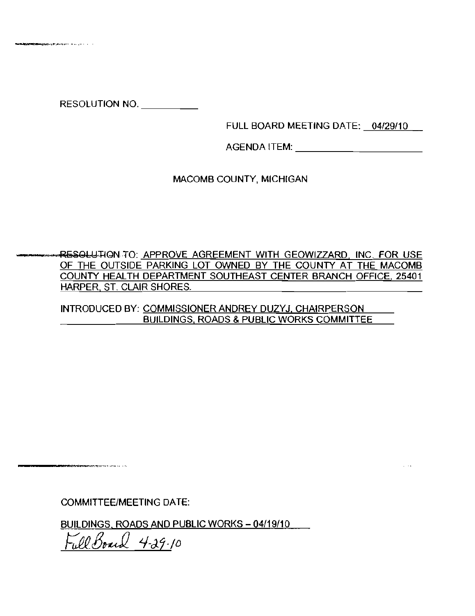**\_.......** ",. \_\_ .,.. ... -....-' , .

FULL BOARD MEETING DATE: 04129110

AGENDA ITEM: \_

MACOMB COUNTY, MICHIGAN

.RESOLUTION TO: APPROVE AGREEMENT WITH GEOWIZZARD, INC. FOR USE OF THE OUTSIDE PARKING LOT OWNED BY THE COUNTY AT THE MACOMB COUNTY HEALTH DEPARTMENT SOUTHEAST CENTER BRANCH OFFICE, 25401 HARPER, ST. CLAIR SHORES.

INTRODUCED BY: COMMISSIONER ANDREY DUZYJ, CHAIRPERSON BUILDINGS, ROADS & PUBLIC WORKS COMMITTEE

COMMITTEE/MEETING DATE:

---\_.,.., .

<u>BUILDINGS, ROADS AND PU**B**LIC WORKS – 04/19/10</u>

~g~ *L./-J.'i-/*<sup>D</sup>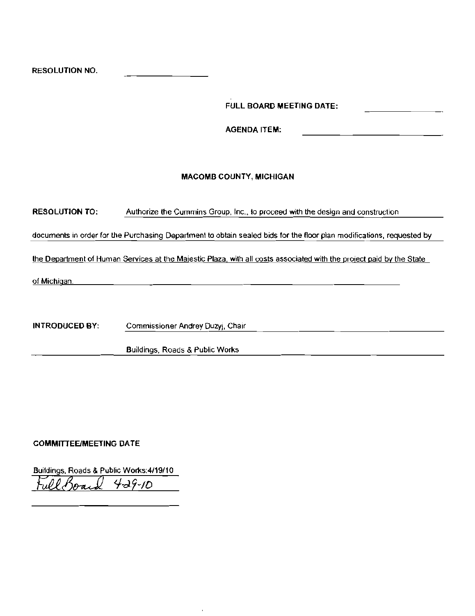FULL BOARD MEETING DATE:

AGENDA ITEM:

### MACOMB COUNTY, MICHIGAN

| RESOLUTION TO: | Authorize the Cummins Group, Inc., to proceed with the design and construction                                        |
|----------------|-----------------------------------------------------------------------------------------------------------------------|
|                |                                                                                                                       |
|                | documents in order for the Purchasing Department to obtain sealed bids for the floor plan modifications, requested by |

the Department of Human Services at the Majestic Plaza, with all costs associated with the project paid by the State

of Michigan.

INTRODUCED BY: Commissioner Andrey Duzyj, Chair

Buildings, Roads & Public Works

J.

### COMMIITEEIMEETING DATE

Buildings, Roads & Public Works:4f19/10 Tuil(l3d *'/-dc9-/o*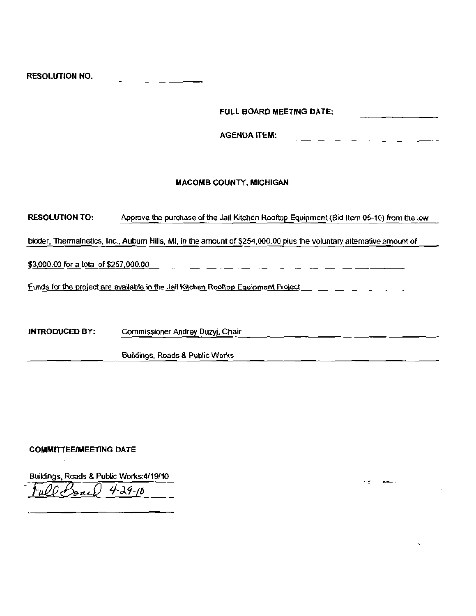FULL BOARD MEETING DATE:

<u> 1966 - 1966 - 1966 - 1966 - 1966 - 1966 - 1966 - 1966 - 1966 - 1970 - 1986 - 1986 - 1986 - 1986 - 1986 - 198</u>

**Participants** 

**AGENDA ITEM:** 

### **MACOMB COUNTY, MICHIGAN**

**RESOLUTION TO:** Approve the purchase of the Jail Kitchen Rooftop Equipment (Bid Item 05-10) from the low

bidder, Thermalnetics, Inc., Auburn Hills, MI, in the arnount of \$254,000.00 plus the voluntary alternative amount of

\$3,000.00 for a total of \$257,000.00

Funds for the project are available in the Jail Kitchen Rooftop Equipment Project [14]

**INTRODUCED BY:** Commissioner Andrey Duzyj, Chair

**Buildings, Roads & Public Works** 

### **COMMITTEE/MEETING DATE**

Buildings, Roads & Public Works: 4/19/10  $4 - 29 - 10$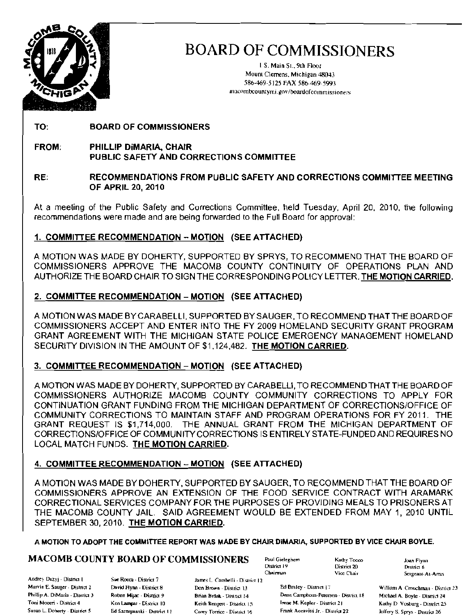

I S. Main SI.. 9th Floor Mount Clemens. Michigan 48043 586-469-5125 FAX 586-469- 5993 macombcountymi.gov/boardofcommissioners

TO: BOARD OF COMMiSSIONERS

FROM: PHILLIP DiMARIA, CHAIR PUBLIC SAFETY AND CORRECTIONS COMMITTEE

### RE: RECOMMENDATIONS FROM PUBLIC SAFETY AND CORRECTIONS COMMITTEE MEETING OF APRIL 20, 2010

At a meeting of the Public Safety and Corrections Committee, held Tuesday, April 20, 2010, the following recommendations were made and are being forwarded to the Full Board for approval:

### 1. COMMITTEE RECOMMENDATION - MOTION (SEE ATTACHED)

A MOTION WAS MADE BY DOHERTY. SUPPORTED BY SPRYS, TO RECOMMEND THAT THE BOARD OF COMMISSIONERS APPROVE THE MACOMB COUNTY CONTINUITY OF OPERATIONS PLAN AND AUTHORIZE THE BOARD CHAIR TO SIGN THE CORRESPONDING POLICY LETTER. THE MOTION CARRIED.

### 2. COMMITTEE RECOMMENDATION - MOTION (SEE ATTACHED)

A MOTION WAS MADE BY CARABELLI. SUPPORTED BY SAUGER. TO RECOMMEND THAT THE BOARD OF COMMISSIONERS ACCEPT AND ENTER INTO THE FY 2009 HOMELAND SECURITY GRANT PROGRAM GRANT AGREEMENT WITH THE MICHIGAN STATE POLICE EMERGENCY MANAGEMENT HOMELAND SECURITY DIVISION IN THE AMOUNT OF \$1.124,482. THE MOTION CARRIED.

### 3. COMMITTEE RECOMMENDATION - MOTION (SEE ATTACHED)

A MOTION WAS MADE BY DOHERTY. SUPPORTED BY CARABELLI, TO RECOMMEND THAT THE BOARD OF COMMiSSIONERS AUTHORIZE MACOMB COUNTY COMMUNITY CORRECTIONS TO APPLY FOR CONTINUATION GRANT FUNDING FROM THE MICHIGAN DEPARTMENT OF CORRECTIONS/OFFICE OF COMMUNITY CORRECTIONS TO MAINTAIN STAFF AND PROGRAM OPERATIONS FOR FY 2011. THE GRANT REQUEST IS \$1.714.000. THE ANNUAL GRANT FROM THE MICHIGAN DEPARTMENT OF CORRECTIONS/OFFICE OF COMMUNITY CORRECTIONS IS ENTIRELY STATE-FUNDED AND REQUIRES NO LOCAL MATCH FUNDS. THE MOTION CARRIED.

### 4. COMMITTEE RECOMMENDATION - MOTION (SEE ATTACHED)

A MOTION WAS MADE BY DOHERTY, SUPPORTED BY SAUGER. TO RECOMMEND THAT THE BOARD OF COMMISSIONERS APPROVE AN EXTENSION OF THE FOOD SERVICE CONTRACT WITH ARAMARK CORRECTIONAL SERVICES COMPANY FOR THE PURPOSES OF PROVIDING MEALS TO PRISONERS AT THE MACOMB COUNTY JAIL. SAID AGREEMENT WOULD BE EXTENDED FROM MAY 1, 2010 UNTIL SEPTEMBER 30, 2010. THE MOTION CARRIED.

Chairman

**A MOTION TO ADOPT THE COMMITTEE REPORT WAS MADE BY CHAIR DiMARIA, SUPPORTED BY VICE CHAIR BOYLE.** 

# **MACOMB COUNTY BOARD OF COMMISSIONERS** Paul Gieleghem  $\begin{array}{ccc}\n\text{Kachy Tocco} & \text{Joco} \\
\text{Distric 19} & \text{Distric 20}\n\end{array}$

Andrey Duzyj - District 1 Sue Rocca - District 7

James L. Carabelli - District 12

District 20<br>Vice Chair

Phillip A, DiMaria - Disrict 3 Roten Migac - Disrrict 9 Brian Broak - District 14 Dana Camphous-Peterson - District 18 Michael A, Boyle - Disrrict 24 Brian Dana Difference A, Boyle - Disricl 20 Michael A, Boyle - District Toni Moceri, District 4 Ken Lampar District 10 Keith Rengert - District 15 Intene M. Kepler - District 21 Kathy D Vosburg. District 25 Susan L. Doherty - District S Ed Szczepanski - Dastrict 1? Carey Torrice - District 16 Frank Accavitti Jr. - District 22 Jeffery S. Sprys - District 26

Sergeant-At-Amis

Marvin E. Sauger - District 2 David Flynn - District 8 Don Brown - District 13 Fed Bruley - District 17 William A Crouchmau - District 23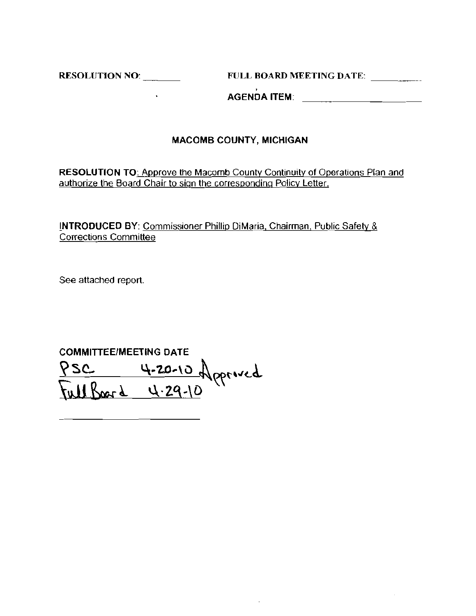**College** 

RESOLUTION NO: ~~\_ FULL BOARD MEETING DATE: ~~

, AGENDA ITEM:

### MACOMB COUNTY, MICHIGAN

RESOLUTION TO: Approve the Macomb County Continuity of Operations Plan and authorize the Board Chair to sign the corresponding Policy Letter.

!NTRODUCED BY: Commissioner Phillip DiMaria, Chairman, Public Safety & Corrections Committee

See attached report.

COMMITTEE/MEETING DATE  $P$ SC 4-20-10 opprived  $\frac{1}{10}$   $\frac{1}{29-10}$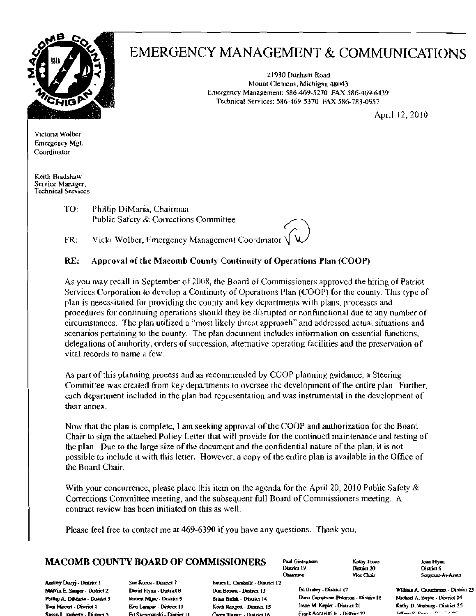

## EMERGENCY MANAGEMENT & COMMUNICATIONS

21930 Dunham Road Mount Clemens, Michigan 48043 Emergency Management: 586-469-5270 FAX 586-469-6439 Technical Services: 586-469-5370 FAX 586-783-0957

April 12,2010

Vietoria Wolber Emergency Mgt. Coordinator

Keith Bradshaw Service Manager, Technical Services

> TO: Phillip DiMaria, Chairman Public Safety & Corrections Committee

FR: Vicki Wolber, Emergency Management Coordinator V

### RE: Approval of the Macomb County Continuity of Operations Plan (COOP)

As you may recall in September of 2008, the Board of Commissioners approved the hiring of Patriot Services Corporation to develop a Continuity of Operations Plan (COOP) for the county. This type of plan is neeessitaled for providing the county and key departments with plans, processes and procedures for continuing operations should they be disrupted or nonfunctional due to any number of cireumstances. The plan utitized a "most likely threat approaeh" and addressed actual situations and scenarios pertaining to the county. The plan document includes infonnation on essential functions, delegations of authority, orders of succession, alternative operating facilities and the preservation of vital records to name a few.

As part of this planning proeess and as recommended by COOP planning guidance, a Steering Committee was created from key departments to oversee the development of the entire plan. Further, each department included in the plan had representation and was instrumental in the development of their annex.

Now that the plan is complete, I am seeking approval of the COOP and authorization for the Board Chair to sign the attaehed Poliey Letter that will provide for the continued maintenance and resting of the plan. Due to the large size of the document and the confidential nature of the plan, it is not possible to include it with this letter. However, a copy of the entire plan is available in the Office of the Board Chair.

With your concurrence, please place this item on the agenda for the April 20, 2010 Public Safety & Corrections Committee meeting, and the subsequent full Board of Commissioners meeting. A contract review has been initiated on this as well,

Please feel free to contact me at 469-6390 if you have any questions. Thank you.

### MACOMB COUNTY BOARD OF COMMISSIONERS

Audrey Duzyj - District ! Sue Rocca - District 7 lames L. Carabelli - District 12 Susan J. Duberty: District 5 Fed Successoris: Disnict II Corry Tomice. District In Frank Accavitable . District 22

Paul Gieleghem District 19 Chairman

Kathy Tocoo District 20 Vice Chair

Marvin E. Sanger - District 2 David Flyna - Oistrict 8 Don Brown - District 13 Ed Bruley - District 17 William A. Qrouchman - District 23 Pbillip A. DiMaria - District 3 Nobert Mijac - District 9 Brian Brdat - District 14 Dana Campbous-Peterson - District 18 Michael A. Boyle - District 24 Tooi Moceni - Oisrict 4 Ken: Lampar District 10 Keith Reagent - District 15 Irene M. Kepler - District 21 Kathy D. Vosburg - District 25<br>Tooi Moceni - District 5 - Pal Secretaria District 11 Comen District 16 Frank Accavit

**Joan Flynn** Diamet 6 Sergeant-At-Arms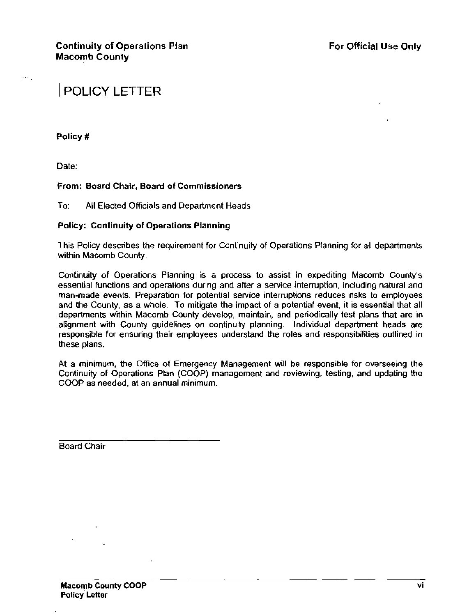## IPOLICY LETTER

Policy #

والمحامر

Date:

### From: Board Chair, Board of Commissioners

To: All Elected Officials and Department Heads

### Policy: Continuity of Operations Planning

This Policy describes the requirement for Continuity of Operations Planning for all departments within Macomb County.

Continuity of Operations Planning is a process to assist in expediting Macomb COunty's essential functions and operations during and after a service intenuption, including natural and man-made events. Preparation for potential service interruptions reduces risks to employees and the County, as a whole. To mitigate the impact of a potential event, it is essential that all departments within Macomb County develop, maintain, and periodically test plans that are in alignment with County guidelines on continuity planning. Individual department heads are responsible for ensuring their employees understand the roles and responsibilities outlined in these plans.

At a minimum, the Office of Emergency Management will be responsible for overseeing the Continuity of Operations Plan (COOP) management and reviewing, testing, and updating the COOP as needed, at an annual minimum.

Board Chair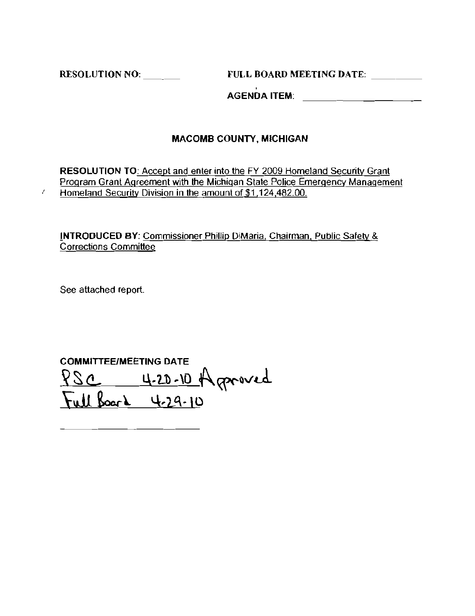RESOLUTION NO: FULL BOARD MEETING DATE:

, AGENDA ITEM:

### MACOMB COUNTY, MICHIGAN

RESOLUTION TO: Accept and enter into the FY 2009 Homeland Security Grant Program Grant Agreement with the Michigan State Police Emergency Management Homeland Security Division in the amount of \$1,124,482.00.

iNTRODUCED BY: Commissioner Phillip DiMaria, Chairman, Public Safety & **Corrections Committee** 

See attached report.

 $\mathcal{L}$ 

COMMITIEE/MEETING DATE  $YSC = 4.20 - 10$  the groved 880 4.20.10 +<br>Full Board 4.29.10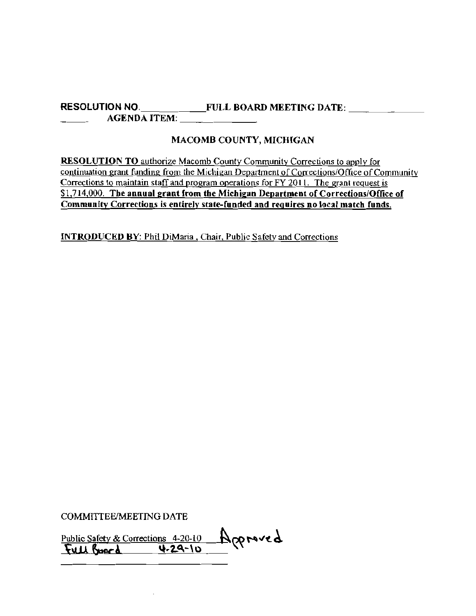### RESOLUTION NO, FULL BOARD MEETING DATE: \_ AGENDA ITEM: \_

### MACOMB COUNTY, MICHIGAN

**RESOLUTION TO authorize Macomb County Community Corrections to apply for** continuation grant funding from the Michigan Department of Corrections/Office of Community Corrections to maintain staff and program operations for FY 2011. The grant request is \$1,714,000. The annual grant from the Michigan Department of Corrections/Office of **Community Corrections is entirely state-funded and requires no local match funds.** 

**INTRODUCED** BY: Phil DiMaria, Chair, Public Safety and Corrections

COMMITTEE/MEETING DATE

Public Safety & Corrections  $4-20-10$   $\bigoplus$   $\bigcap$   $\bigcap$   $\bigcap$  $\frac{1}{2000}$   $\frac{1}{2000}$   $\frac{1}{2000}$   $\frac{1}{2000}$   $\frac{1}{2000}$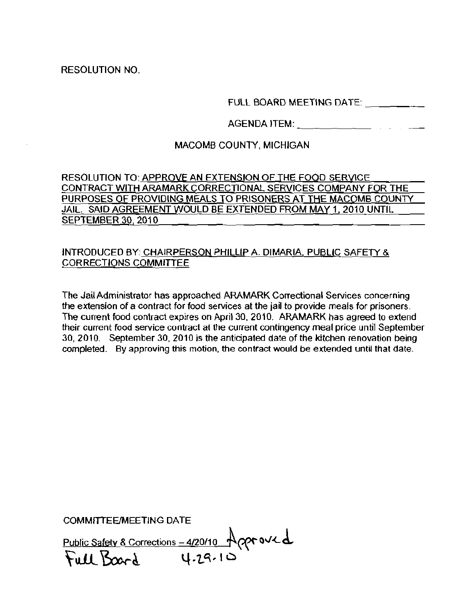FULL BOARD MEETING DATE: \_\_\_\_\_\_\_\_\_

AGENDA ITEM: \_

### MACOMB COUNTY, MICHIGAN

RESOLUTION TO: APPROVE AN EXTENSION OF THE FOOD SERVICE CONTRACT WITH ARAMARK CORRECTIONAL SERVICES COMPANY FOR THE PURPOSES OF PROVIDING MEALS TO PRISONERS AT THE MACOMB COUNTY JAIL. SAID AGREEMENT WOULD BE EXTENDED FROM MAY 1, 2010 UNTIL SEPTEMBER 30, 2010

### INTRODUCED BY: CHAIRPERSON PHILLIP A. DIMARIA, PUBLIC SAFETY & CORRECTIONS COMMITTEE

**The Jail Administrator has approached ARAMARK Correctional Seruices concerning the extension of a contract for food services at the jail to provide meals for prisoners.**  The current food contract expires on April 30, 2010. ARAMARK has agreed to extend **their current food service contract at the current contingency meal price until September**  30,2010. September 30,2010 is the anticipated date of the kitchen renovation being **completed. By approving this motion, the contract would be extended until that date.** 

COMMITTEE/MEETING DATE

<u> Public Safety & Corrections – 4/20/10</u>  $\overline{\text{Full Board}}$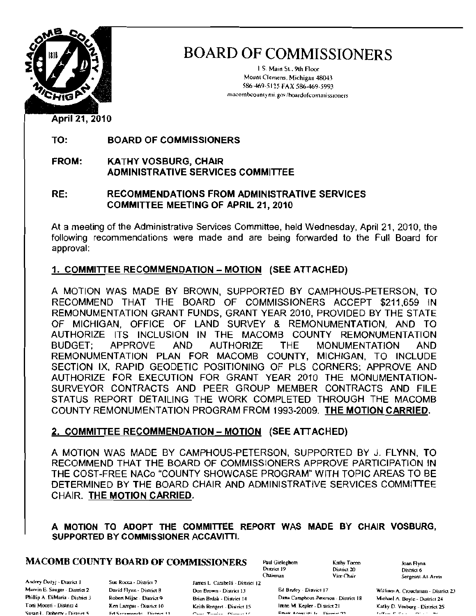

I S Main 51. 9th Floor Mounl Clemens, Michigan 48043 586-469-5125 FAX 586-469-5993 macombcounty mi .gov/hoardofcommissioners

**April 21, 2010** 

#### TO: BOARD OF COMMISSIONERS

#### FROM: KATHY VOSBURG, CHAIR ADMINISTRATIVE SERVICES COMMITTEE

#### RE: RECOMMENDATIONS FROM ADMINISTRATIVE SERVICES COMMITTEE MEETING OF APRIL 21,2010

At a meeting of the Administrative Services Committee, held Wednesday, April 21, 2010, the following recommendations were made and are being forwarded to the Full Board for approval:

### 1. COMMITTEE RECOMMENDATION - MOTION (SEE ATTACHED)

A MOTION WAS MADE BY BROWN, SUPPORTED BY CAMPHOUS-PETERSON, TO RECOMMEND THAT THE BOARD OF COMMISSIONERS ACCEPT \$211,659 IN REMONUMENTATION GRANT FUNDS, GRANT YEAR 2010, PROVIDED BY THE STATE OF MICHIGAN, OFFICE OF LAND SURVEY & REMONUMENTATION, AND TO AUTHORIZE ITS INCLUSION IN THE MACOMB COUNTY REMONUMENTATION BUDGET; APPROVE AND AUTHORIZE THE MONUMENTATION AND REMONUMENTATION PLAN FOR MACOMB COUNTY, MICHIGAN, TO INCLUDE SECTION IX, RAPID GEODETIC POSITIONING OF PLS CORNERS; APPROVE AND AUTHORIZE FOR EXECUTION FOR GRANT YEAR 2010 THE MONUMENTATION-SURVEYOR CONTRACTS AND PEER GROUP MEMBER CONTRACTS AND FILE STATUS REPORT DETAILING THE WORK COMPLETED THROUGH THE MACOMB COUNTY REMONUMENTATION PROGRAM FROM 1993-2009, THE MOTION CARRIED.

### 2. COMMITTEE RECOMMENDATION - MOTION (SEE ATTACHED)

A MOTION WAS MADE BY CAMPHOUS-PETERSON, SUPPORTED BY J, FLYNN, TO RECOMMEND THAT THE BOARD OF COMMISSIONERS APPROVE PARTICIPATION IN THE COST-FREE NACo "COUNTY SHOWCASE PROGRAM" WITH TOPIC AREAS TO BE DETERMINED BY THE BOARD CHAIR AND ADMINISTRATIVE SERVICES COMMITTEE CHAIR. THE MOTION CARRIED.

A MOTION TO ADOPT THE COMMITTEE REPORT WAS MADE BY CHAIR VOSBURG, SUPPORTED BY COMMISSIONER ACCAVITTI.

## **MACOMB COUNTY BOARD OF COMMISSIONERS** Paul Gieleghem  $\begin{array}{cccc}\n\text{Kally Town} \\
\text{Dispic 20}\n\end{array}$

Andrey Dutyj - District J Sue Rocca - District 7

**Ed Syczamonds** Niemed 11

James L. Carabelli - District 12  $C_{\rm 2000}$  . Then in a Pilace is the

Chairman

District 20 District 6<br>Vice Chair Serveson,

Marvin E. Sauget - District 2. [David Flynn. District B Ell Brown - District 13 Ed Bruky - District 17 William A, Crouchman - District 23 Phillip A. DiMaria - District 3 Robert Mijac - District 9 Brian Brdak - District 14 Dana Camphous-Peterson - District 18 Michael A. Boyle - District 24 Toni Moceri - Di\$lricl4 Ken Lamper - Di\$lrict 10 Keith Rengert - Di\$rict 15 Inche M. Kepler - Di\$lrict 21 Kathy D. Vosburg - Di\$frict 25<br>Susan L. Doberty - District State of Disclosure District 11 Co. Co. Discuss 16 Canada

Sergeant-Ai-Arms

 $\mathbf{r}_\sigma \mathbf{r} \mathbf{r}_{\sigma \sigma \sigma} \left( \mathbf{r}_\sigma \mathbf{r}_\sigma \mathbf{r}_\sigma \right) = \mathbf{0}$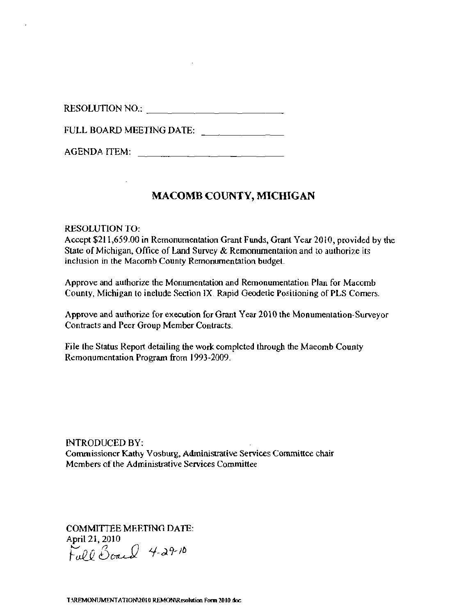RESOLUTION NO.: \_\_\_\_\_ \_\_\_\_\_ \_\_\_\_ \_\_\_\_ \_\_\_ FULL BOARD MEETING DATE:

AGENDA ITEM:

### MACOMB COUNTY, MICHIGAN

RESOLUTION *TO:* 

Accept \$211,659.00 in Remonumentation Grant Funds, Grant Year 20/0, provided by the State of Michigan, Office of Land Survey & Remonumentation and to authorize its inclusion in the Macomb County Remonumentation budget

Approve and authorize the Monumentation and Remonumentation Plan for Macomb County, Michigan to inelude Section IX Rapid Geodetic Positioning of PLS Comers.

Approve and authorize for execution for Grant Year 2010 the Monumentation-Surveyor Contraets and Peer Group Member Contracts.

File the Status Report detailing the work completed through the Maeomb County Remonumentation Program from 1993-2009.

INTRODUCED BY: Commissioner Kathy Vosburg, Administrative Services Committee chair Members of the Administrative Services Committee

COMMITTEE MEETING DATE:

April 21, 2010  $^{6}$  0.6  $^{6}$  and 0.4-29-10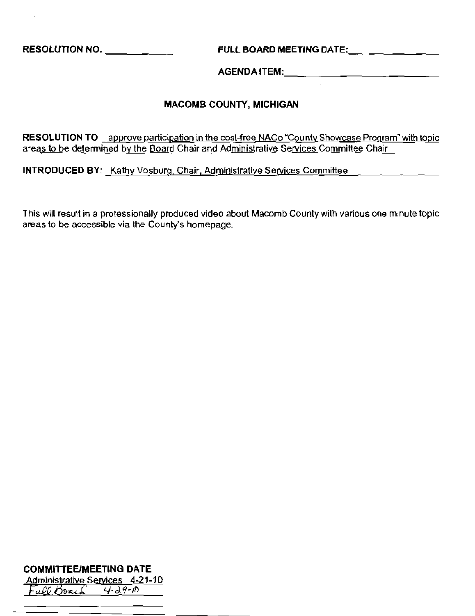**RESOLUTION** NO. \_ **FUll BOARD MEETING** DATE: \_

AGENDAITEM:. \_

### **MACOMB** COUNTY, **MICHIGAN**

**RESOLUTION TO approve participation in the cost-free NACo "County Showcase Program" with topic**  areas to be determined by the Board Chair and Administrative Services Committee Chair

**INTRODUCED BY:** Kathy Vosburg, Chair, Administrative Services Committee

This will result in a professionally produced video about Macomb County with various one minute topic **areas to be accessible via the County's homepage.** 

**COMMITIEE/MEETING DATE** 

Administrative Services 4-21-10<br>Full Boach 4.29-10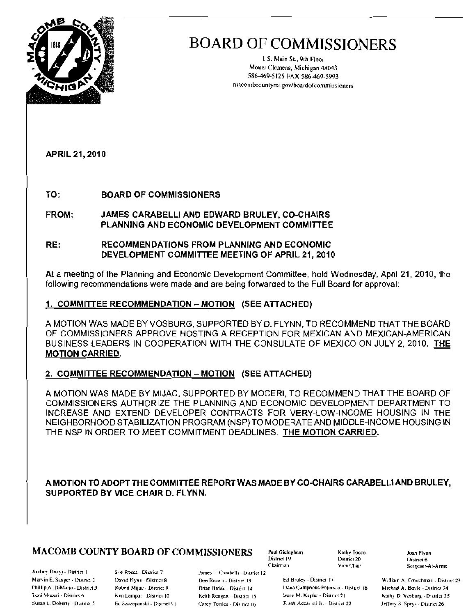

I S. Main St., 9th Roor Mounl Clemens, Michigan 48043 586-469-5125 FAX 586-469·5993 macombcounlyml. gOYlbooardokommissioners

APRIL 21, 2010

TO: BOARD OF COMMISSIONERS

### FROM: JAMES CARABELLI AND EDWARD BRULEY, CO-CHAIRS PLANNING AND ECONOMIC DEVELOPMENT COMMITTEE

### RE: RECOMMENDATIONS FROM PLANNING AND ECONOMIC DEVELOPMENT COMMITTEE MEETING OF APRIL 21, 2010

**At** a meeting of the Planning and Economic Development Committee, held Wednesday, April 21, 2010, the following recommendations were made and are being forwarded to the Full Board for approval:

### 1. COMMITTEE RECOMMENDATION - MOTION (SEE ATTACHED)

A MOTION WAS MADE BY VOSBURG. SUPPORTED BY D. FLYNN, TO RECOMMEND THAT THE BOARD OF COMMISSIONERS APPROVE HOSTING A RECEPTION FOR MEXICAN AND MEXICAN-AMERICAN BUSINESS LEADERS IN COOPERATION WITH THE CONSULATE OF MEXICO ON JULY 2.2010. THE MOTION CARRIED.

### 2. COMMITTEE RECOMMENDATION - MOTION (SEE ATTACHED)

A MOTION WAS MADE BY MIJAC. SUPPORTED BY MOCERI, TO RECOMMEND THAT THE BOARD OF COMMISSIONERS AUTHORIZE THE PLANNING AND ECONOMIC DEVELOPMENT DEPARTMENT TO INCREASE AND EXTEND DEVELOPER CONTRACTS FOR VERY-LOW-INCOME HOUSING IN THE NEIGHBORHOOD STABILIZATION PROGRAM (NSP) TO MODERATE AND MIDDLE-INCOME HOUSING IN THE NSP IN ORDER TO MEET COMMITMENT DEADLINES. THE MOTiON CARRIED.

### A MOTION TO ADOPT THE COMMITTEE REPORT WAS MADE BY CO-CHAIRS CARABELLI AND BRULEY, SUPPORTED BY VICE CHAIR D. FLYNN.

## $MACOMB$  COUNTY BOARD OF COMMISSIONERS (Paul Gieleghem (Salhy Tocco Joan Flynn)<br>District 19 District 20 District 6

Andrey Duzyj - District I S. Sue Rocca - District 7 James L. Carabelli - District 12<br>Marvin E. Sauger - District 2 David Flynn - District 8 Don Brown - District 13

District 19 District 20<br>
Chairman Vice Chair

Don Brown - District 13 **Ed Bruley** - District 17 **William A. Crouchman - District 23** U Phillip A. DiMaria - District 3 Robert Mijac - District 9 Brian Brdak - District 14 Dana Camphous-Peterson - District 18 Michael A. Boyle - District 24 1 oni Moceri - District 4 Ken Lampar - District 10 Keith Rengen - District 15 Mene M. Kepler - District 21 Kathy D. Vosburg - District 25 Susan L. Doherty - District 5 = Ed Szczepanski - District 11 Carey Torrice - District 16 = Frank Accavitti Jr. - District 22 Jeffery S Sprys - District 26

Sergeant-At-Arms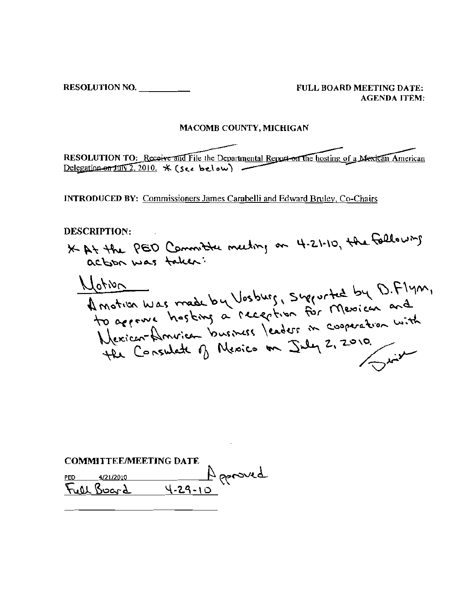**FULL BOARD MEETING DATE: AGENDA ITEM:** 

#### **MACOMB COUNTY, MICHIGAN**

RESOLUTION TO: Receive and File the Departmental Report on the hosting of a Mexican American Delegation on  $10\sqrt{2}$ , 2010. \* (see below)

**INTRODUCED BY:** Commissioners James Carabelli and Edward Bruley, Co-Chairs

**DESCRIPTION:** 

\* At the PED Committee meeting on 4.21-10, the following

Amotion was made by Vosburg, suggested by D.Flyn,<br>to agreer hosting a reception for Mexican and<br>Mexican American business leaders in cooperation with<br>the Consulate of Newico on July 2, 2010, Motion

**COMMITTEE/MEETING DATE** PED 4/21/2010 Approved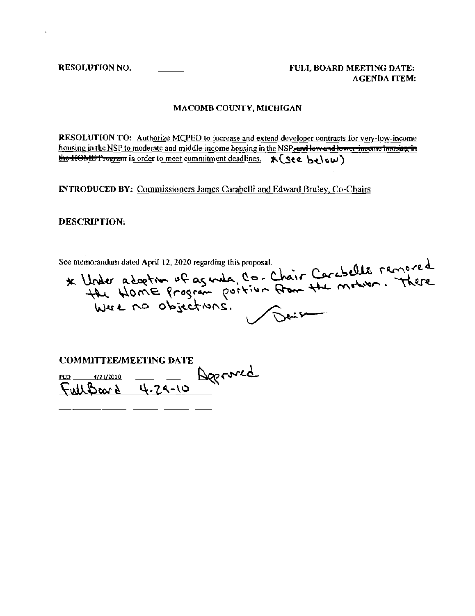FULL BOARD MEETING DATE: **AGENDA ITEM:** 

#### MACOMB COUNTY, MICHIGAN

RESOLUTION TO: Authorize MCPED to jucrease and extend developer contracts for very-low-income housing in the NSP to moderate and middle-income housing in the NSP, and low and lower-income housing in the HOME Program in order to meet commitment deadlines. \* (See below)

**INTRODUCED BY:** Commissioners James Carabelli and Edward Bruley, Co-Chairs

**DESCRIPTION:** 

\* Under adoption of as under Co-Chair Carabells removed<br>the Home Program position from the motor. There<br>Were no objections. See memorandum dated April 12, 2020 regarding this proposal.

| <b>COMMITTEE/MEETING DATE</b> |  |          |
|-------------------------------|--|----------|
| 4/21/2010<br>PCD.             |  | Deproved |
| FullBoard 4-29-10             |  |          |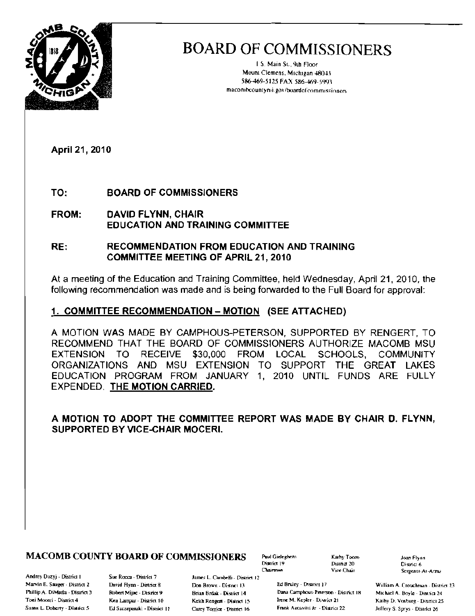

I. S. Main St., 9th Floor Mount Clemens, Michigan 4804.} 586-469·5125 FAX 586-469-5991 macombcountymi.gov/buardofcommissioners

April 21, 2010

TO: BOARD OF COMMISSIONERS

FROM: DAVID FLYNN, CHAIR EDUCATION AND TRAINING COMMITTEE

### RE: RECOMMENDATION FROM EDUCATION AND TRAINING COMMITTEE MEETING OF APRIL 21,2010

At a meeting of the Education and Training Committee, held Wednesday, April 21, 2010, the following recommendation was made and is being forwarded to the **Full** Board for approval:

### 1. COMMITTEE RECOMMENDATION - MOTION (SEE ATTACHED)

A MOTION WAS MADE BY CAMPHOUS-PETERSON, SUPPORTED BY RENGERT, TO RECOMMEND THAT THE BOARD OF COMMISSIONERS AUTHORIZE MACOMB MSU EXTENSION TO RECEIVE \$30,000 FROM LOCAL SCHOOLS, COMMUNITY ORGANiZATIONS AND MSU EXTENSION TO SUPPORT THE GREAT LAKES EDUCATION PROGRAM FROM JANUARY 1, 2010 UNTIL FUNDS ARE FULLY EXPENDED. THE MOTION CARRIED.

A MOTION TO ADOPT THE COMMITTEE REPORT WAS MADE BY CHAIR D. FLYNN, SUPPORTED BY VICE-CHAIR MOCERI.

### MACOMB COUNTY BOARD OF COMMISSIONERS Faul Gieleghen: Kaithy Tocan (State Joan Filynn

Andrey Duzyj - District I Sue Rocca - District 7

James L. Carabelli - District 12 Marvin E. Sauger - District 2 David Flynn - District 8 Don Brown - District 13 Ed Bruley - District 17 William A. Crouchtnan - District 23 Susan L. Doherty - District 5 Ed Szczepanski - District I? Carey Torrice - District 16 Frank Accavitti Jr - District 22 Jeffery S. Sprys - District 26

Chairman

District 20<br>Vice Chair

Sergeant-At-Arms

Phillip A. DiMaria - District 3 Robert Mijac - District 9 Davia Brian Break - District 14 Dana Camphous-Peterson - District 18 Michael A. Boyle - District 24 Toni Moceri - District 4 Ken Lampar - District 10 Keith Reneert - District 15 litene M. Kepler - District 21 Kathy D. Vosburg - District 25